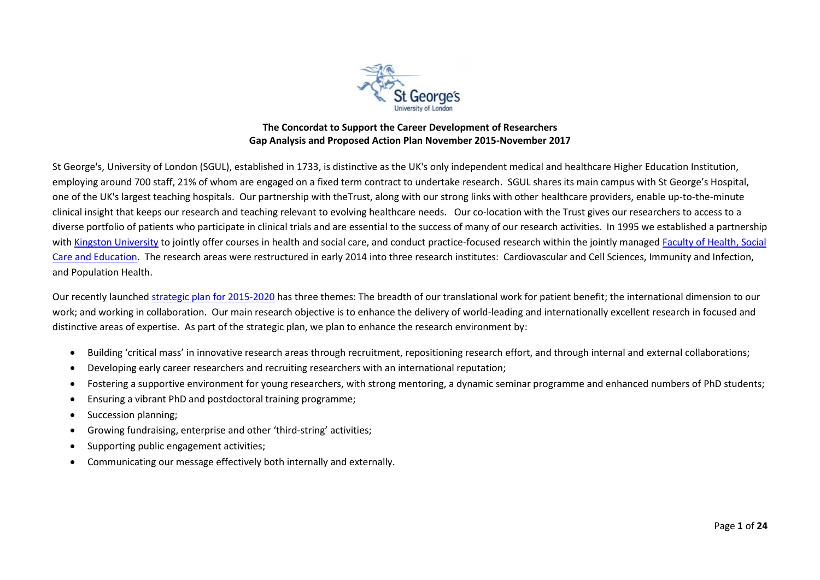

## **The Concordat to Support the Career Development of Researchers Gap Analysis and Proposed Action Plan November 2015-November 2017**

St George's, University of London (SGUL), established in 1733, is distinctive as the UK's only independent medical and healthcare Higher Education Institution, employing around 700 staff, 21% of whom are engaged on a fixed term contract to undertake research. SGUL shares its main campus with St George's Hospital, one of the UK's largest teaching hospitals. Our partnership with theTrust, along with our strong links with other healthcare providers, enable up-to-the-minute clinical insight that keeps our research and teaching relevant to evolving healthcare needs. Our co-location with the Trust gives our researchers to access to a diverse portfolio of patients who participate in clinical trials and are essential to the success of many of our research activities. In 1995 we established a partnership with [Kingston University](http://www.kingston.ac.uk/) to jointly offer courses in health and social care, and conduct practice-focused research within the jointly managed Faculty of Health, Social [Care and Education.](http://www.healthcare.ac.uk/) The research areas were restructured in early 2014 into three research institutes: Cardiovascular and Cell Sciences, Immunity and Infection, and Population Health.

Our recently launched [strategic plan for 2015-2020](http://www.sgul.ac.uk/images/StrategicPlan2015_2020.pdf) has three themes: The breadth of our translational work for patient benefit; the international dimension to our work; and working in collaboration. Our main research objective is to enhance the delivery of world-leading and internationally excellent research in focused and distinctive areas of expertise. As part of the strategic plan, we plan to enhance the research environment by:

- Building 'critical mass' in innovative research areas through recruitment, repositioning research effort, and through internal and external collaborations;
- Developing early career researchers and recruiting researchers with an international reputation;
- Fostering a supportive environment for young researchers, with strong mentoring, a dynamic seminar programme and enhanced numbers of PhD students;
- Ensuring a vibrant PhD and postdoctoral training programme;
- Succession planning;
- Growing fundraising, enterprise and other 'third-string' activities;
- Supporting public engagement activities;
- Communicating our message effectively both internally and externally.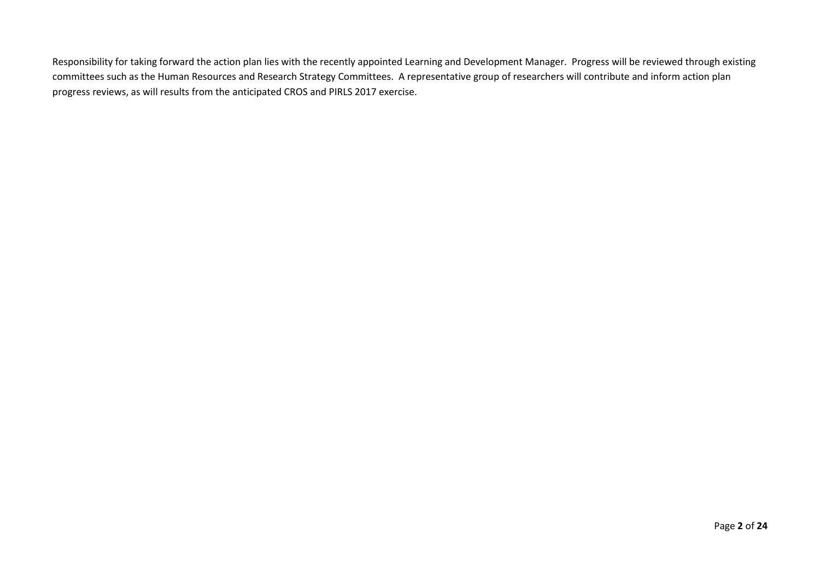Responsibility for taking forward the action plan lies with the recently appointed Learning and Development Manager. Progress will be reviewed through existing committees such as the Human Resources and Research Strategy Committees. A representative group of researchers will contribute and inform action plan progress reviews, as will results from the anticipated CROS and PIRLS 2017 exercise.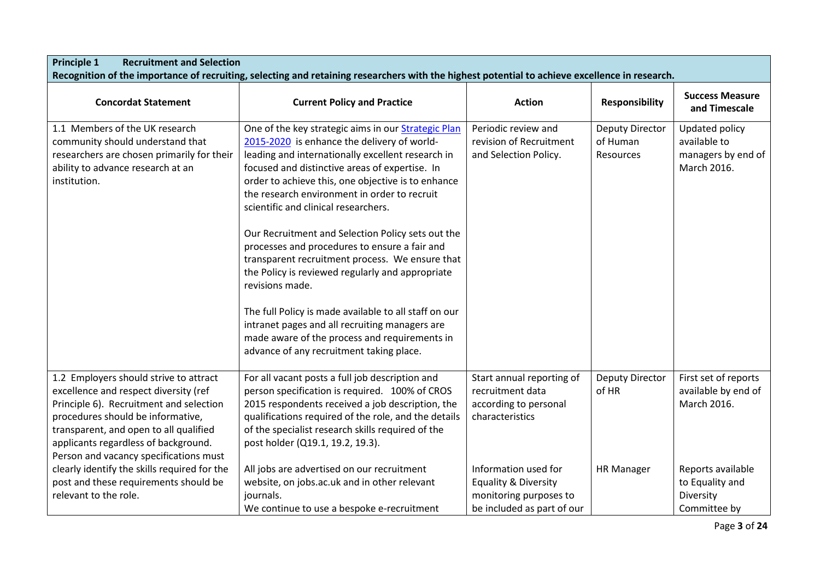| <b>Principle 1</b><br><b>Recruitment and Selection</b>                                                                                                                                                                                                                                      | Recognition of the importance of recruiting, selecting and retaining researchers with the highest potential to achieve excellence in research.                                                                                                                                                                                                                                                               |                                                                                                                 |                                                 |                                                                     |
|---------------------------------------------------------------------------------------------------------------------------------------------------------------------------------------------------------------------------------------------------------------------------------------------|--------------------------------------------------------------------------------------------------------------------------------------------------------------------------------------------------------------------------------------------------------------------------------------------------------------------------------------------------------------------------------------------------------------|-----------------------------------------------------------------------------------------------------------------|-------------------------------------------------|---------------------------------------------------------------------|
| <b>Concordat Statement</b>                                                                                                                                                                                                                                                                  | <b>Current Policy and Practice</b>                                                                                                                                                                                                                                                                                                                                                                           | <b>Action</b>                                                                                                   | <b>Responsibility</b>                           | <b>Success Measure</b><br>and Timescale                             |
| 1.1 Members of the UK research<br>community should understand that<br>researchers are chosen primarily for their<br>ability to advance research at an<br>institution.                                                                                                                       | One of the key strategic aims in our Strategic Plan<br>2015-2020 is enhance the delivery of world-<br>leading and internationally excellent research in<br>focused and distinctive areas of expertise. In<br>order to achieve this, one objective is to enhance<br>the research environment in order to recruit<br>scientific and clinical researchers.<br>Our Recruitment and Selection Policy sets out the | Periodic review and<br>revision of Recruitment<br>and Selection Policy.                                         | <b>Deputy Director</b><br>of Human<br>Resources | Updated policy<br>available to<br>managers by end of<br>March 2016. |
|                                                                                                                                                                                                                                                                                             | processes and procedures to ensure a fair and<br>transparent recruitment process. We ensure that<br>the Policy is reviewed regularly and appropriate<br>revisions made.<br>The full Policy is made available to all staff on our<br>intranet pages and all recruiting managers are<br>made aware of the process and requirements in<br>advance of any recruitment taking place.                              |                                                                                                                 |                                                 |                                                                     |
| 1.2 Employers should strive to attract<br>excellence and respect diversity (ref<br>Principle 6). Recruitment and selection<br>procedures should be informative,<br>transparent, and open to all qualified<br>applicants regardless of background.<br>Person and vacancy specifications must | For all vacant posts a full job description and<br>person specification is required. 100% of CROS<br>2015 respondents received a job description, the<br>qualifications required of the role, and the details<br>of the specialist research skills required of the<br>post holder (Q19.1, 19.2, 19.3).                                                                                                       | Start annual reporting of<br>recruitment data<br>according to personal<br>characteristics                       | <b>Deputy Director</b><br>of HR                 | First set of reports<br>available by end of<br>March 2016.          |
| clearly identify the skills required for the<br>post and these requirements should be<br>relevant to the role.                                                                                                                                                                              | All jobs are advertised on our recruitment<br>website, on jobs.ac.uk and in other relevant<br>journals.<br>We continue to use a bespoke e-recruitment                                                                                                                                                                                                                                                        | Information used for<br><b>Equality &amp; Diversity</b><br>monitoring purposes to<br>be included as part of our | <b>HR Manager</b>                               | Reports available<br>to Equality and<br>Diversity<br>Committee by   |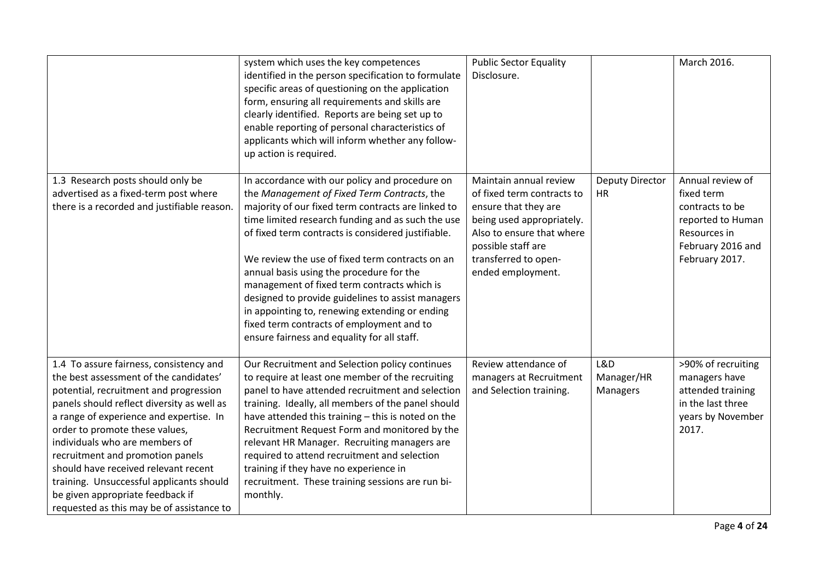|                                                                                                                                                                                                                                                                                                                                                                                                                                                                                                   | system which uses the key competences<br>identified in the person specification to formulate<br>specific areas of questioning on the application<br>form, ensuring all requirements and skills are<br>clearly identified. Reports are being set up to<br>enable reporting of personal characteristics of<br>applicants which will inform whether any follow-<br>up action is required.                                                                                                                                                                                                                          | <b>Public Sector Equality</b><br>Disclosure.                                                                                                                                                              |                                     | March 2016.                                                                                                                   |
|---------------------------------------------------------------------------------------------------------------------------------------------------------------------------------------------------------------------------------------------------------------------------------------------------------------------------------------------------------------------------------------------------------------------------------------------------------------------------------------------------|-----------------------------------------------------------------------------------------------------------------------------------------------------------------------------------------------------------------------------------------------------------------------------------------------------------------------------------------------------------------------------------------------------------------------------------------------------------------------------------------------------------------------------------------------------------------------------------------------------------------|-----------------------------------------------------------------------------------------------------------------------------------------------------------------------------------------------------------|-------------------------------------|-------------------------------------------------------------------------------------------------------------------------------|
| 1.3 Research posts should only be<br>advertised as a fixed-term post where<br>there is a recorded and justifiable reason.                                                                                                                                                                                                                                                                                                                                                                         | In accordance with our policy and procedure on<br>the Management of Fixed Term Contracts, the<br>majority of our fixed term contracts are linked to<br>time limited research funding and as such the use<br>of fixed term contracts is considered justifiable.<br>We review the use of fixed term contracts on an<br>annual basis using the procedure for the<br>management of fixed term contracts which is<br>designed to provide guidelines to assist managers<br>in appointing to, renewing extending or ending<br>fixed term contracts of employment and to<br>ensure fairness and equality for all staff. | Maintain annual review<br>of fixed term contracts to<br>ensure that they are<br>being used appropriately.<br>Also to ensure that where<br>possible staff are<br>transferred to open-<br>ended employment. | <b>Deputy Director</b><br><b>HR</b> | Annual review of<br>fixed term<br>contracts to be<br>reported to Human<br>Resources in<br>February 2016 and<br>February 2017. |
| 1.4 To assure fairness, consistency and<br>the best assessment of the candidates'<br>potential, recruitment and progression<br>panels should reflect diversity as well as<br>a range of experience and expertise. In<br>order to promote these values,<br>individuals who are members of<br>recruitment and promotion panels<br>should have received relevant recent<br>training. Unsuccessful applicants should<br>be given appropriate feedback if<br>requested as this may be of assistance to | Our Recruitment and Selection policy continues<br>to require at least one member of the recruiting<br>panel to have attended recruitment and selection<br>training. Ideally, all members of the panel should<br>have attended this training - this is noted on the<br>Recruitment Request Form and monitored by the<br>relevant HR Manager. Recruiting managers are<br>required to attend recruitment and selection<br>training if they have no experience in<br>recruitment. These training sessions are run bi-<br>monthly.                                                                                   | Review attendance of<br>managers at Recruitment<br>and Selection training.                                                                                                                                | L&D<br>Manager/HR<br>Managers       | >90% of recruiting<br>managers have<br>attended training<br>in the last three<br>years by November<br>2017.                   |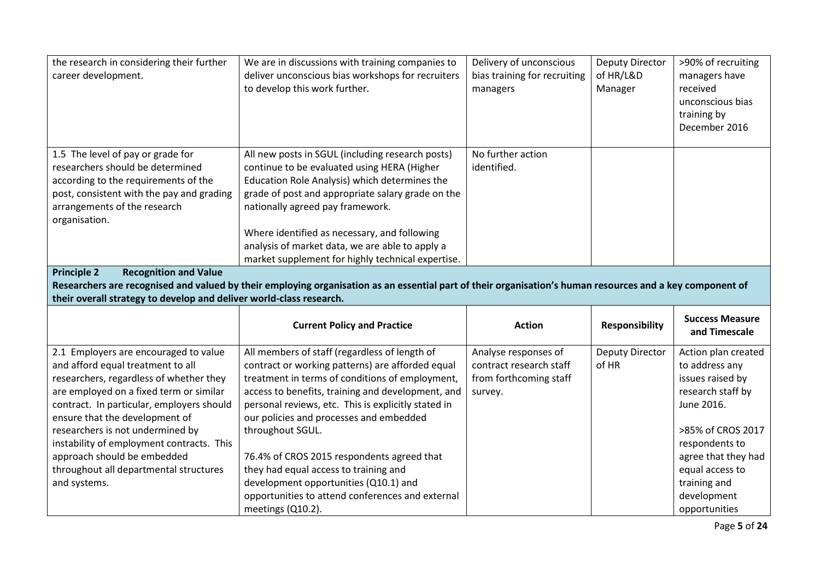| career development.                                                                                                                                                                                         | We are in discussions with training companies to<br>deliver unconscious bias workshops for recruiters<br>to develop this work further.                                                                                                                                                                                                                                                            | Delivery of unconscious<br>bias training for recruiting<br>managers | <b>Deputy Director</b><br>of HR/L&D<br>Manager | >90% of recruiting<br>managers have<br>received<br>unconscious bias<br>training by<br>December 2016 |
|-------------------------------------------------------------------------------------------------------------------------------------------------------------------------------------------------------------|---------------------------------------------------------------------------------------------------------------------------------------------------------------------------------------------------------------------------------------------------------------------------------------------------------------------------------------------------------------------------------------------------|---------------------------------------------------------------------|------------------------------------------------|-----------------------------------------------------------------------------------------------------|
| 1.5 The level of pay or grade for<br>researchers should be determined<br>according to the requirements of the<br>post, consistent with the pay and grading<br>arrangements of the research<br>organisation. | All new posts in SGUL (including research posts)<br>continue to be evaluated using HERA (Higher<br>Education Role Analysis) which determines the<br>grade of post and appropriate salary grade on the<br>nationally agreed pay framework.<br>Where identified as necessary, and following<br>analysis of market data, we are able to apply a<br>market supplement for highly technical expertise. | No further action<br>identified.                                    |                                                |                                                                                                     |
| <b>Recognition and Value</b><br><b>Principle 2</b><br>their overall strategy to develop and deliver world-class research.                                                                                   | Researchers are recognised and valued by their employing organisation as an essential part of their organisation's human resources and a key component of                                                                                                                                                                                                                                         |                                                                     |                                                |                                                                                                     |
|                                                                                                                                                                                                             | <b>Current Policy and Practice</b>                                                                                                                                                                                                                                                                                                                                                                |                                                                     |                                                |                                                                                                     |
|                                                                                                                                                                                                             |                                                                                                                                                                                                                                                                                                                                                                                                   | <b>Action</b>                                                       | <b>Responsibility</b>                          | <b>Success Measure</b><br>and Timescale                                                             |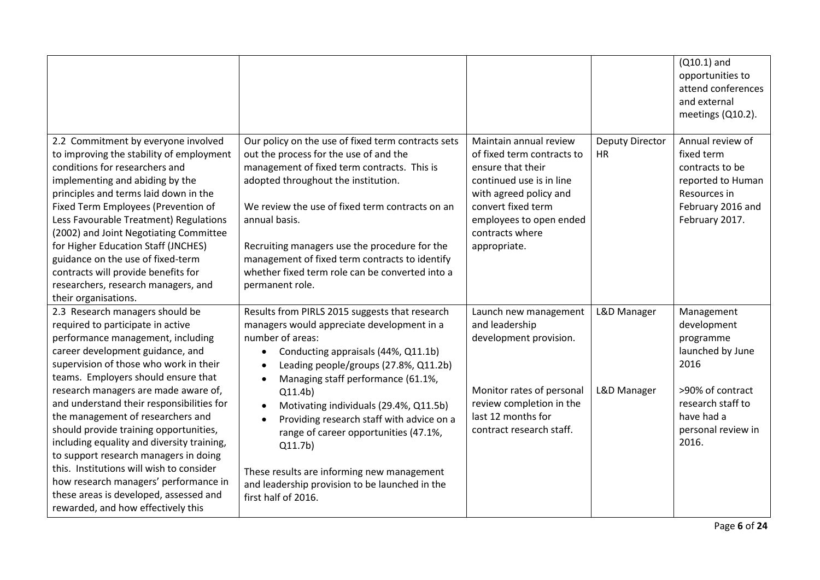|                                                                                                                                                                                                                                                                                                                                                                                                                                                                                                                                                                                                                                                                |                                                                                                                                                                                                                                                                                                                                                                                                                                                                                                                                                                         |                                                                                                                                                                                                                     |                                     | $(Q10.1)$ and<br>opportunities to<br>attend conferences<br>and external<br>meetings (Q10.2).                                                             |
|----------------------------------------------------------------------------------------------------------------------------------------------------------------------------------------------------------------------------------------------------------------------------------------------------------------------------------------------------------------------------------------------------------------------------------------------------------------------------------------------------------------------------------------------------------------------------------------------------------------------------------------------------------------|-------------------------------------------------------------------------------------------------------------------------------------------------------------------------------------------------------------------------------------------------------------------------------------------------------------------------------------------------------------------------------------------------------------------------------------------------------------------------------------------------------------------------------------------------------------------------|---------------------------------------------------------------------------------------------------------------------------------------------------------------------------------------------------------------------|-------------------------------------|----------------------------------------------------------------------------------------------------------------------------------------------------------|
| 2.2 Commitment by everyone involved<br>to improving the stability of employment<br>conditions for researchers and<br>implementing and abiding by the<br>principles and terms laid down in the<br>Fixed Term Employees (Prevention of<br>Less Favourable Treatment) Regulations<br>(2002) and Joint Negotiating Committee<br>for Higher Education Staff (JNCHES)<br>guidance on the use of fixed-term<br>contracts will provide benefits for<br>researchers, research managers, and<br>their organisations.                                                                                                                                                     | Our policy on the use of fixed term contracts sets<br>out the process for the use of and the<br>management of fixed term contracts. This is<br>adopted throughout the institution.<br>We review the use of fixed term contracts on an<br>annual basis.<br>Recruiting managers use the procedure for the<br>management of fixed term contracts to identify<br>whether fixed term role can be converted into a<br>permanent role.                                                                                                                                         | Maintain annual review<br>of fixed term contracts to<br>ensure that their<br>continued use is in line<br>with agreed policy and<br>convert fixed term<br>employees to open ended<br>contracts where<br>appropriate. | <b>Deputy Director</b><br><b>HR</b> | Annual review of<br>fixed term<br>contracts to be<br>reported to Human<br>Resources in<br>February 2016 and<br>February 2017.                            |
| 2.3 Research managers should be<br>required to participate in active<br>performance management, including<br>career development guidance, and<br>supervision of those who work in their<br>teams. Employers should ensure that<br>research managers are made aware of,<br>and understand their responsibilities for<br>the management of researchers and<br>should provide training opportunities,<br>including equality and diversity training,<br>to support research managers in doing<br>this. Institutions will wish to consider<br>how research managers' performance in<br>these areas is developed, assessed and<br>rewarded, and how effectively this | Results from PIRLS 2015 suggests that research<br>managers would appreciate development in a<br>number of areas:<br>Conducting appraisals (44%, Q11.1b)<br>$\bullet$<br>Leading people/groups (27.8%, Q11.2b)<br>$\bullet$<br>Managing staff performance (61.1%,<br>$\bullet$<br>Q11.4b)<br>Motivating individuals (29.4%, Q11.5b)<br>$\bullet$<br>Providing research staff with advice on a<br>range of career opportunities (47.1%,<br>Q11.7b)<br>These results are informing new management<br>and leadership provision to be launched in the<br>first half of 2016. | Launch new management<br>and leadership<br>development provision.<br>Monitor rates of personal<br>review completion in the<br>last 12 months for<br>contract research staff.                                        | L&D Manager<br>L&D Manager          | Management<br>development<br>programme<br>launched by June<br>2016<br>>90% of contract<br>research staff to<br>have had a<br>personal review in<br>2016. |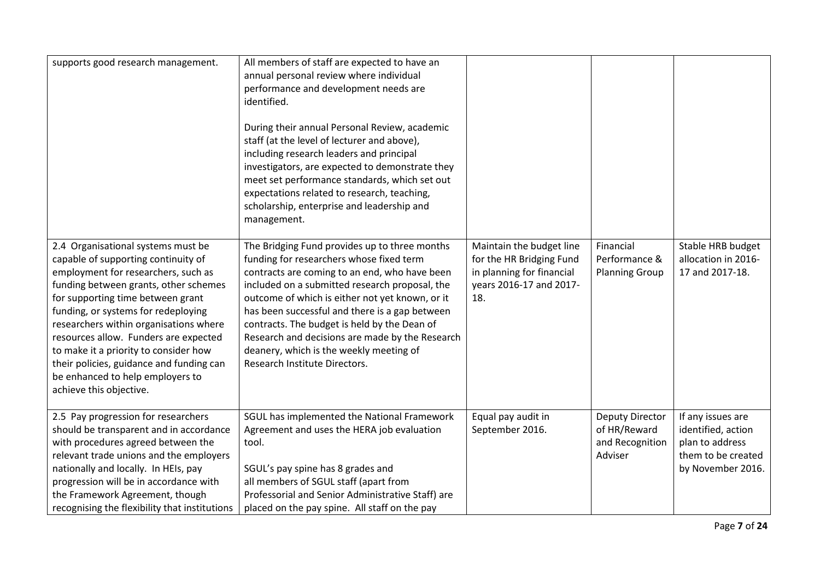| supports good research management.                                                                                                                                                                                                                                                                                                                                                                                                                                           | All members of staff are expected to have an<br>annual personal review where individual<br>performance and development needs are<br>identified.<br>During their annual Personal Review, academic<br>staff (at the level of lecturer and above),<br>including research leaders and principal<br>investigators, are expected to demonstrate they<br>meet set performance standards, which set out<br>expectations related to research, teaching,<br>scholarship, enterprise and leadership and<br>management. |                                                                                                                     |                                                               |                                                                                                       |
|------------------------------------------------------------------------------------------------------------------------------------------------------------------------------------------------------------------------------------------------------------------------------------------------------------------------------------------------------------------------------------------------------------------------------------------------------------------------------|-------------------------------------------------------------------------------------------------------------------------------------------------------------------------------------------------------------------------------------------------------------------------------------------------------------------------------------------------------------------------------------------------------------------------------------------------------------------------------------------------------------|---------------------------------------------------------------------------------------------------------------------|---------------------------------------------------------------|-------------------------------------------------------------------------------------------------------|
| 2.4 Organisational systems must be<br>capable of supporting continuity of<br>employment for researchers, such as<br>funding between grants, other schemes<br>for supporting time between grant<br>funding, or systems for redeploying<br>researchers within organisations where<br>resources allow. Funders are expected<br>to make it a priority to consider how<br>their policies, guidance and funding can<br>be enhanced to help employers to<br>achieve this objective. | The Bridging Fund provides up to three months<br>funding for researchers whose fixed term<br>contracts are coming to an end, who have been<br>included on a submitted research proposal, the<br>outcome of which is either not yet known, or it<br>has been successful and there is a gap between<br>contracts. The budget is held by the Dean of<br>Research and decisions are made by the Research<br>deanery, which is the weekly meeting of<br>Research Institute Directors.                            | Maintain the budget line<br>for the HR Bridging Fund<br>in planning for financial<br>years 2016-17 and 2017-<br>18. | Financial<br>Performance &<br><b>Planning Group</b>           | Stable HRB budget<br>allocation in 2016-<br>17 and 2017-18.                                           |
| 2.5 Pay progression for researchers<br>should be transparent and in accordance<br>with procedures agreed between the<br>relevant trade unions and the employers<br>nationally and locally. In HEIs, pay<br>progression will be in accordance with<br>the Framework Agreement, though<br>recognising the flexibility that institutions                                                                                                                                        | SGUL has implemented the National Framework<br>Agreement and uses the HERA job evaluation<br>tool.<br>SGUL's pay spine has 8 grades and<br>all members of SGUL staff (apart from<br>Professorial and Senior Administrative Staff) are<br>placed on the pay spine. All staff on the pay                                                                                                                                                                                                                      | Equal pay audit in<br>September 2016.                                                                               | Deputy Director<br>of HR/Reward<br>and Recognition<br>Adviser | If any issues are<br>identified, action<br>plan to address<br>them to be created<br>by November 2016. |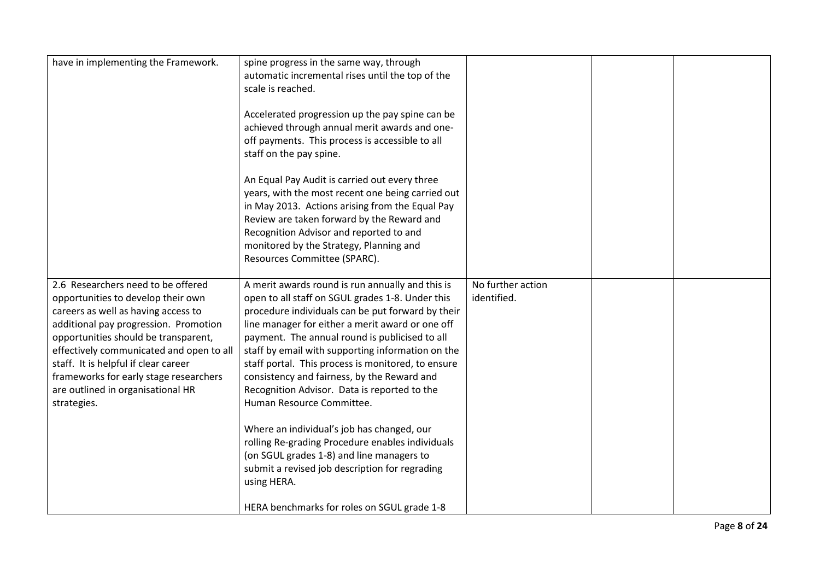| have in implementing the Framework.                                                                                                                                                                                                                                                                                                                                                | spine progress in the same way, through<br>automatic incremental rises until the top of the<br>scale is reached.                                                                                                                                                                                                                                                                                                                                                                                       |                                  |  |
|------------------------------------------------------------------------------------------------------------------------------------------------------------------------------------------------------------------------------------------------------------------------------------------------------------------------------------------------------------------------------------|--------------------------------------------------------------------------------------------------------------------------------------------------------------------------------------------------------------------------------------------------------------------------------------------------------------------------------------------------------------------------------------------------------------------------------------------------------------------------------------------------------|----------------------------------|--|
|                                                                                                                                                                                                                                                                                                                                                                                    | Accelerated progression up the pay spine can be<br>achieved through annual merit awards and one-<br>off payments. This process is accessible to all<br>staff on the pay spine.                                                                                                                                                                                                                                                                                                                         |                                  |  |
|                                                                                                                                                                                                                                                                                                                                                                                    | An Equal Pay Audit is carried out every three<br>years, with the most recent one being carried out<br>in May 2013. Actions arising from the Equal Pay<br>Review are taken forward by the Reward and<br>Recognition Advisor and reported to and<br>monitored by the Strategy, Planning and<br>Resources Committee (SPARC).                                                                                                                                                                              |                                  |  |
| 2.6 Researchers need to be offered<br>opportunities to develop their own<br>careers as well as having access to<br>additional pay progression. Promotion<br>opportunities should be transparent,<br>effectively communicated and open to all<br>staff. It is helpful if clear career<br>frameworks for early stage researchers<br>are outlined in organisational HR<br>strategies. | A merit awards round is run annually and this is<br>open to all staff on SGUL grades 1-8. Under this<br>procedure individuals can be put forward by their<br>line manager for either a merit award or one off<br>payment. The annual round is publicised to all<br>staff by email with supporting information on the<br>staff portal. This process is monitored, to ensure<br>consistency and fairness, by the Reward and<br>Recognition Advisor. Data is reported to the<br>Human Resource Committee. | No further action<br>identified. |  |
|                                                                                                                                                                                                                                                                                                                                                                                    | Where an individual's job has changed, our<br>rolling Re-grading Procedure enables individuals<br>(on SGUL grades 1-8) and line managers to<br>submit a revised job description for regrading<br>using HERA.<br>HERA benchmarks for roles on SGUL grade 1-8                                                                                                                                                                                                                                            |                                  |  |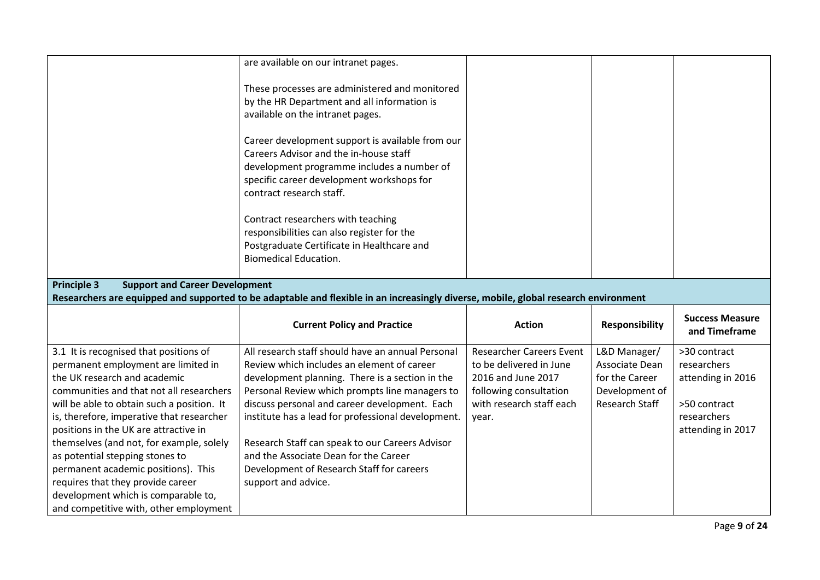|                                                                                                                                     | are available on our intranet pages.               |                                 |                       |                        |
|-------------------------------------------------------------------------------------------------------------------------------------|----------------------------------------------------|---------------------------------|-----------------------|------------------------|
|                                                                                                                                     |                                                    |                                 |                       |                        |
|                                                                                                                                     |                                                    |                                 |                       |                        |
|                                                                                                                                     | These processes are administered and monitored     |                                 |                       |                        |
|                                                                                                                                     | by the HR Department and all information is        |                                 |                       |                        |
|                                                                                                                                     | available on the intranet pages.                   |                                 |                       |                        |
|                                                                                                                                     | Career development support is available from our   |                                 |                       |                        |
|                                                                                                                                     | Careers Advisor and the in-house staff             |                                 |                       |                        |
|                                                                                                                                     | development programme includes a number of         |                                 |                       |                        |
|                                                                                                                                     | specific career development workshops for          |                                 |                       |                        |
|                                                                                                                                     | contract research staff.                           |                                 |                       |                        |
|                                                                                                                                     |                                                    |                                 |                       |                        |
|                                                                                                                                     | Contract researchers with teaching                 |                                 |                       |                        |
|                                                                                                                                     | responsibilities can also register for the         |                                 |                       |                        |
|                                                                                                                                     | Postgraduate Certificate in Healthcare and         |                                 |                       |                        |
|                                                                                                                                     | <b>Biomedical Education.</b>                       |                                 |                       |                        |
|                                                                                                                                     |                                                    |                                 |                       |                        |
| <b>Principle 3</b><br><b>Support and Career Development</b>                                                                         |                                                    |                                 |                       |                        |
| Researchers are equipped and supported to be adaptable and flexible in an increasingly diverse, mobile, global research environment |                                                    |                                 |                       |                        |
|                                                                                                                                     |                                                    |                                 |                       |                        |
|                                                                                                                                     |                                                    |                                 |                       |                        |
|                                                                                                                                     | <b>Current Policy and Practice</b>                 | <b>Action</b>                   | <b>Responsibility</b> | <b>Success Measure</b> |
|                                                                                                                                     |                                                    |                                 |                       | and Timeframe          |
| 3.1 It is recognised that positions of                                                                                              | All research staff should have an annual Personal  | <b>Researcher Careers Event</b> | L&D Manager/          | >30 contract           |
| permanent employment are limited in                                                                                                 | Review which includes an element of career         | to be delivered in June         | Associate Dean        | researchers            |
| the UK research and academic                                                                                                        | development planning. There is a section in the    | 2016 and June 2017              | for the Career        | attending in 2016      |
| communities and that not all researchers                                                                                            | Personal Review which prompts line managers to     | following consultation          | Development of        |                        |
| will be able to obtain such a position. It                                                                                          | discuss personal and career development. Each      | with research staff each        | Research Staff        | >50 contract           |
| is, therefore, imperative that researcher                                                                                           | institute has a lead for professional development. | year.                           |                       | researchers            |
| positions in the UK are attractive in                                                                                               |                                                    |                                 |                       | attending in 2017      |
| themselves (and not, for example, solely                                                                                            | Research Staff can speak to our Careers Advisor    |                                 |                       |                        |
| as potential stepping stones to                                                                                                     | and the Associate Dean for the Career              |                                 |                       |                        |
| permanent academic positions). This                                                                                                 | Development of Research Staff for careers          |                                 |                       |                        |
| requires that they provide career                                                                                                   | support and advice.                                |                                 |                       |                        |
| development which is comparable to,                                                                                                 |                                                    |                                 |                       |                        |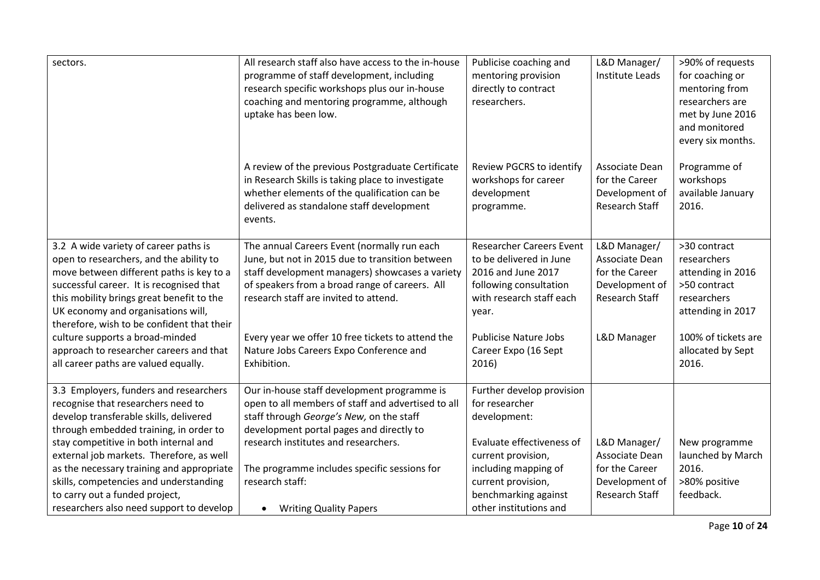| sectors.                                                                                                                                                                                                                                                                                                  | All research staff also have access to the in-house<br>programme of staff development, including<br>research specific workshops plus our in-house<br>coaching and mentoring programme, although<br>uptake has been low.                      | Publicise coaching and<br>mentoring provision<br>directly to contract<br>researchers.                                                           | L&D Manager/<br><b>Institute Leads</b>                                                      | >90% of requests<br>for coaching or<br>mentoring from<br>researchers are<br>met by June 2016<br>and monitored<br>every six months. |
|-----------------------------------------------------------------------------------------------------------------------------------------------------------------------------------------------------------------------------------------------------------------------------------------------------------|----------------------------------------------------------------------------------------------------------------------------------------------------------------------------------------------------------------------------------------------|-------------------------------------------------------------------------------------------------------------------------------------------------|---------------------------------------------------------------------------------------------|------------------------------------------------------------------------------------------------------------------------------------|
|                                                                                                                                                                                                                                                                                                           | A review of the previous Postgraduate Certificate<br>in Research Skills is taking place to investigate<br>whether elements of the qualification can be<br>delivered as standalone staff development<br>events.                               | Review PGCRS to identify<br>workshops for career<br>development<br>programme.                                                                   | Associate Dean<br>for the Career<br>Development of<br>Research Staff                        | Programme of<br>workshops<br>available January<br>2016.                                                                            |
| 3.2 A wide variety of career paths is<br>open to researchers, and the ability to<br>move between different paths is key to a<br>successful career. It is recognised that<br>this mobility brings great benefit to the<br>UK economy and organisations will,<br>therefore, wish to be confident that their | The annual Careers Event (normally run each<br>June, but not in 2015 due to transition between<br>staff development managers) showcases a variety<br>of speakers from a broad range of careers. All<br>research staff are invited to attend. | <b>Researcher Careers Event</b><br>to be delivered in June<br>2016 and June 2017<br>following consultation<br>with research staff each<br>year. | L&D Manager/<br>Associate Dean<br>for the Career<br>Development of<br><b>Research Staff</b> | >30 contract<br>researchers<br>attending in 2016<br>>50 contract<br>researchers<br>attending in 2017                               |
| culture supports a broad-minded<br>approach to researcher careers and that<br>all career paths are valued equally.                                                                                                                                                                                        | Every year we offer 10 free tickets to attend the<br>Nature Jobs Careers Expo Conference and<br>Exhibition.                                                                                                                                  | <b>Publicise Nature Jobs</b><br>Career Expo (16 Sept<br>2016)                                                                                   | L&D Manager                                                                                 | 100% of tickets are<br>allocated by Sept<br>2016.                                                                                  |
| 3.3 Employers, funders and researchers<br>recognise that researchers need to<br>develop transferable skills, delivered<br>through embedded training, in order to                                                                                                                                          | Our in-house staff development programme is<br>open to all members of staff and advertised to all<br>staff through George's New, on the staff<br>development portal pages and directly to                                                    | Further develop provision<br>for researcher<br>development:                                                                                     |                                                                                             |                                                                                                                                    |
| stay competitive in both internal and<br>external job markets. Therefore, as well<br>as the necessary training and appropriate<br>skills, competencies and understanding<br>to carry out a funded project,<br>researchers also need support to develop                                                    | research institutes and researchers.<br>The programme includes specific sessions for<br>research staff:<br><b>Writing Quality Papers</b><br>$\bullet$                                                                                        | Evaluate effectiveness of<br>current provision,<br>including mapping of<br>current provision,<br>benchmarking against<br>other institutions and | L&D Manager/<br>Associate Dean<br>for the Career<br>Development of<br>Research Staff        | New programme<br>launched by March<br>2016.<br>>80% positive<br>feedback.                                                          |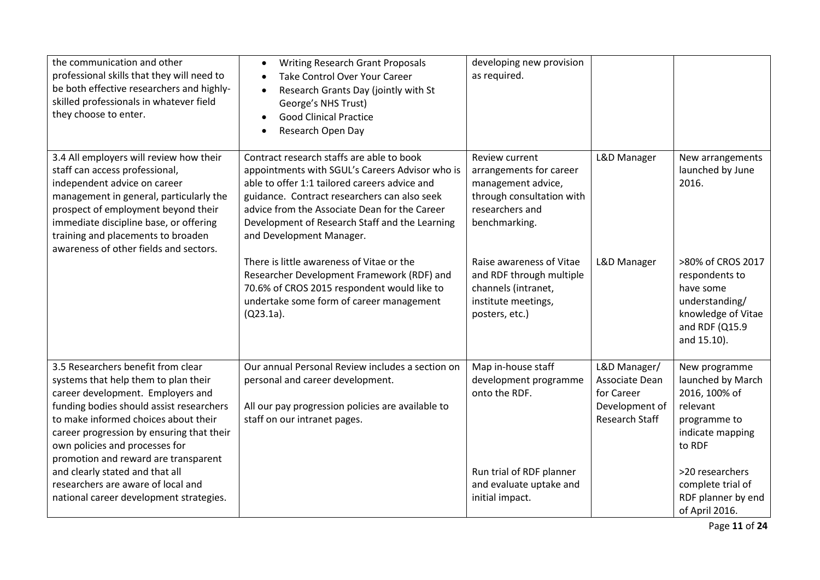| the communication and other<br>professional skills that they will need to<br>be both effective researchers and highly-<br>skilled professionals in whatever field<br>they choose to enter.                                                                                                                                 | <b>Writing Research Grant Proposals</b><br>$\bullet$<br>Take Control Over Your Career<br>$\bullet$<br>Research Grants Day (jointly with St<br>$\bullet$<br>George's NHS Trust)<br><b>Good Clinical Practice</b><br>$\bullet$<br>Research Open Day<br>$\bullet$                                                               | developing new provision<br>as required.                                                                                         |                                                                                         |                                                                                                                           |
|----------------------------------------------------------------------------------------------------------------------------------------------------------------------------------------------------------------------------------------------------------------------------------------------------------------------------|------------------------------------------------------------------------------------------------------------------------------------------------------------------------------------------------------------------------------------------------------------------------------------------------------------------------------|----------------------------------------------------------------------------------------------------------------------------------|-----------------------------------------------------------------------------------------|---------------------------------------------------------------------------------------------------------------------------|
| 3.4 All employers will review how their<br>staff can access professional,<br>independent advice on career<br>management in general, particularly the<br>prospect of employment beyond their<br>immediate discipline base, or offering<br>training and placements to broaden<br>awareness of other fields and sectors.      | Contract research staffs are able to book<br>appointments with SGUL's Careers Advisor who is<br>able to offer 1:1 tailored careers advice and<br>guidance. Contract researchers can also seek<br>advice from the Associate Dean for the Career<br>Development of Research Staff and the Learning<br>and Development Manager. | Review current<br>arrangements for career<br>management advice,<br>through consultation with<br>researchers and<br>benchmarking. | L&D Manager                                                                             | New arrangements<br>launched by June<br>2016.                                                                             |
|                                                                                                                                                                                                                                                                                                                            | There is little awareness of Vitae or the<br>Researcher Development Framework (RDF) and<br>70.6% of CROS 2015 respondent would like to<br>undertake some form of career management<br>$(Q23.1a)$ .                                                                                                                           | Raise awareness of Vitae<br>and RDF through multiple<br>channels (intranet,<br>institute meetings,<br>posters, etc.)             | L&D Manager                                                                             | >80% of CROS 2017<br>respondents to<br>have some<br>understanding/<br>knowledge of Vitae<br>and RDF (Q15.9<br>and 15.10). |
| 3.5 Researchers benefit from clear<br>systems that help them to plan their<br>career development. Employers and<br>funding bodies should assist researchers<br>to make informed choices about their<br>career progression by ensuring that their<br>own policies and processes for<br>promotion and reward are transparent | Our annual Personal Review includes a section on<br>personal and career development.<br>All our pay progression policies are available to<br>staff on our intranet pages.                                                                                                                                                    | Map in-house staff<br>development programme<br>onto the RDF.                                                                     | L&D Manager/<br>Associate Dean<br>for Career<br>Development of<br><b>Research Staff</b> | New programme<br>launched by March<br>2016, 100% of<br>relevant<br>programme to<br>indicate mapping<br>to RDF             |
| and clearly stated and that all<br>researchers are aware of local and<br>national career development strategies.                                                                                                                                                                                                           |                                                                                                                                                                                                                                                                                                                              | Run trial of RDF planner<br>and evaluate uptake and<br>initial impact.                                                           |                                                                                         | >20 researchers<br>complete trial of<br>RDF planner by end<br>of April 2016.                                              |

Page **11** of **24**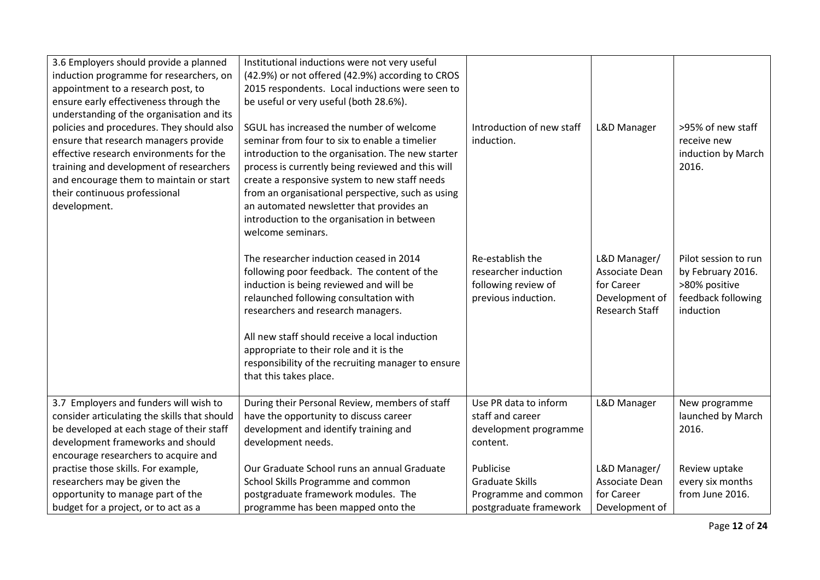| 3.6 Employers should provide a planned       | Institutional inductions were not very useful      |                           |                |                      |
|----------------------------------------------|----------------------------------------------------|---------------------------|----------------|----------------------|
| induction programme for researchers, on      | (42.9%) or not offered (42.9%) according to CROS   |                           |                |                      |
| appointment to a research post, to           | 2015 respondents. Local inductions were seen to    |                           |                |                      |
| ensure early effectiveness through the       | be useful or very useful (both 28.6%).             |                           |                |                      |
| understanding of the organisation and its    |                                                    |                           |                |                      |
| policies and procedures. They should also    | SGUL has increased the number of welcome           | Introduction of new staff | L&D Manager    | >95% of new staff    |
| ensure that research managers provide        | seminar from four to six to enable a timelier      | induction.                |                | receive new          |
| effective research environments for the      | introduction to the organisation. The new starter  |                           |                | induction by March   |
| training and development of researchers      | process is currently being reviewed and this will  |                           |                | 2016.                |
| and encourage them to maintain or start      | create a responsive system to new staff needs      |                           |                |                      |
| their continuous professional                | from an organisational perspective, such as using  |                           |                |                      |
| development.                                 | an automated newsletter that provides an           |                           |                |                      |
|                                              | introduction to the organisation in between        |                           |                |                      |
|                                              | welcome seminars.                                  |                           |                |                      |
|                                              |                                                    |                           |                |                      |
|                                              | The researcher induction ceased in 2014            | Re-establish the          | L&D Manager/   | Pilot session to run |
|                                              | following poor feedback. The content of the        | researcher induction      | Associate Dean | by February 2016.    |
|                                              | induction is being reviewed and will be            | following review of       | for Career     | >80% positive        |
|                                              | relaunched following consultation with             | previous induction.       | Development of | feedback following   |
|                                              | researchers and research managers.                 |                           | Research Staff | induction            |
|                                              |                                                    |                           |                |                      |
|                                              | All new staff should receive a local induction     |                           |                |                      |
|                                              | appropriate to their role and it is the            |                           |                |                      |
|                                              | responsibility of the recruiting manager to ensure |                           |                |                      |
|                                              | that this takes place.                             |                           |                |                      |
|                                              |                                                    |                           |                |                      |
| 3.7 Employers and funders will wish to       | During their Personal Review, members of staff     | Use PR data to inform     | L&D Manager    | New programme        |
| consider articulating the skills that should | have the opportunity to discuss career             | staff and career          |                | launched by March    |
| be developed at each stage of their staff    | development and identify training and              | development programme     |                | 2016.                |
| development frameworks and should            | development needs.                                 | content.                  |                |                      |
| encourage researchers to acquire and         |                                                    |                           |                |                      |
| practise those skills. For example,          | Our Graduate School runs an annual Graduate        | Publicise                 | L&D Manager/   | Review uptake        |
| researchers may be given the                 | School Skills Programme and common                 | <b>Graduate Skills</b>    | Associate Dean | every six months     |
| opportunity to manage part of the            | postgraduate framework modules. The                | Programme and common      | for Career     | from June 2016.      |
| budget for a project, or to act as a         | programme has been mapped onto the                 | postgraduate framework    | Development of |                      |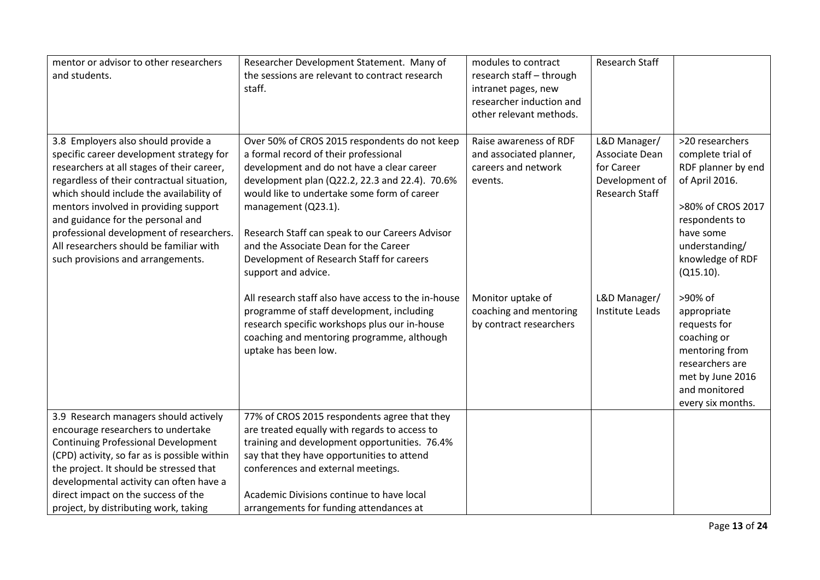| mentor or advisor to other researchers<br>and students.                                                                                                                                                                                                                                                                                                                                                                           | Researcher Development Statement. Many of<br>the sessions are relevant to contract research<br>staff.                                                                                                                                                                                                                                                                                                                        | modules to contract<br>research staff - through<br>intranet pages, new<br>researcher induction and<br>other relevant methods. | <b>Research Staff</b>                                                            |                                                                                                                                                                                        |
|-----------------------------------------------------------------------------------------------------------------------------------------------------------------------------------------------------------------------------------------------------------------------------------------------------------------------------------------------------------------------------------------------------------------------------------|------------------------------------------------------------------------------------------------------------------------------------------------------------------------------------------------------------------------------------------------------------------------------------------------------------------------------------------------------------------------------------------------------------------------------|-------------------------------------------------------------------------------------------------------------------------------|----------------------------------------------------------------------------------|----------------------------------------------------------------------------------------------------------------------------------------------------------------------------------------|
| 3.8 Employers also should provide a<br>specific career development strategy for<br>researchers at all stages of their career,<br>regardless of their contractual situation,<br>which should include the availability of<br>mentors involved in providing support<br>and guidance for the personal and<br>professional development of researchers.<br>All researchers should be familiar with<br>such provisions and arrangements. | Over 50% of CROS 2015 respondents do not keep<br>a formal record of their professional<br>development and do not have a clear career<br>development plan (Q22.2, 22.3 and 22.4). 70.6%<br>would like to undertake some form of career<br>management (Q23.1).<br>Research Staff can speak to our Careers Advisor<br>and the Associate Dean for the Career<br>Development of Research Staff for careers<br>support and advice. | Raise awareness of RDF<br>and associated planner,<br>careers and network<br>events.                                           | L&D Manager/<br>Associate Dean<br>for Career<br>Development of<br>Research Staff | >20 researchers<br>complete trial of<br>RDF planner by end<br>of April 2016.<br>>80% of CROS 2017<br>respondents to<br>have some<br>understanding/<br>knowledge of RDF<br>$(Q15.10)$ . |
|                                                                                                                                                                                                                                                                                                                                                                                                                                   | All research staff also have access to the in-house<br>programme of staff development, including<br>research specific workshops plus our in-house<br>coaching and mentoring programme, although<br>uptake has been low.                                                                                                                                                                                                      | Monitor uptake of<br>coaching and mentoring<br>by contract researchers                                                        | L&D Manager/<br>Institute Leads                                                  | >90% of<br>appropriate<br>requests for<br>coaching or<br>mentoring from<br>researchers are<br>met by June 2016<br>and monitored<br>every six months.                                   |
| 3.9 Research managers should actively<br>encourage researchers to undertake<br><b>Continuing Professional Development</b><br>(CPD) activity, so far as is possible within<br>the project. It should be stressed that<br>developmental activity can often have a<br>direct impact on the success of the<br>project, by distributing work, taking                                                                                   | 77% of CROS 2015 respondents agree that they<br>are treated equally with regards to access to<br>training and development opportunities. 76.4%<br>say that they have opportunities to attend<br>conferences and external meetings.<br>Academic Divisions continue to have local<br>arrangements for funding attendances at                                                                                                   |                                                                                                                               |                                                                                  |                                                                                                                                                                                        |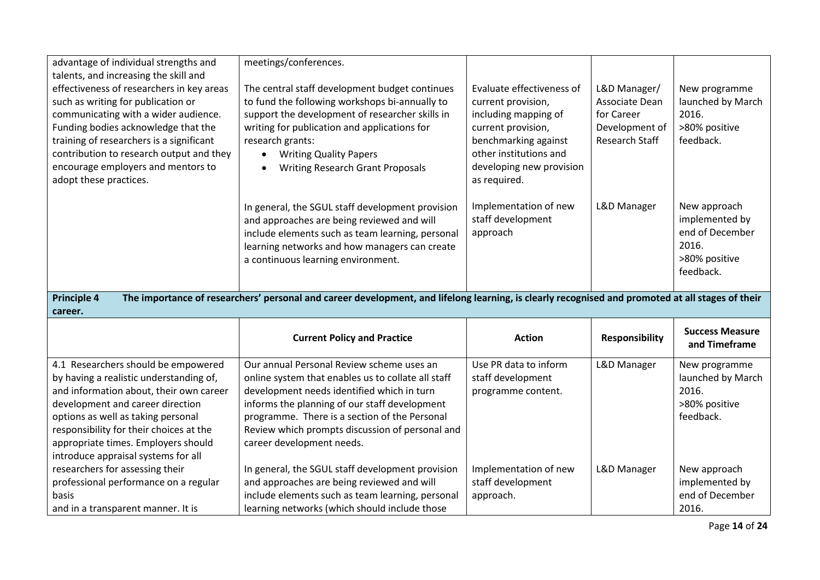| advantage of individual strengths and                                                                                                                                                                                                                                                                                                                           | meetings/conferences.                                                                                                                                                                                                                                                                                                           |                                                                                                                                                                                             |                                                                                  |                                                                                          |
|-----------------------------------------------------------------------------------------------------------------------------------------------------------------------------------------------------------------------------------------------------------------------------------------------------------------------------------------------------------------|---------------------------------------------------------------------------------------------------------------------------------------------------------------------------------------------------------------------------------------------------------------------------------------------------------------------------------|---------------------------------------------------------------------------------------------------------------------------------------------------------------------------------------------|----------------------------------------------------------------------------------|------------------------------------------------------------------------------------------|
| talents, and increasing the skill and<br>effectiveness of researchers in key areas<br>such as writing for publication or<br>communicating with a wider audience.<br>Funding bodies acknowledge that the<br>training of researchers is a significant<br>contribution to research output and they<br>encourage employers and mentors to<br>adopt these practices. | The central staff development budget continues<br>to fund the following workshops bi-annually to<br>support the development of researcher skills in<br>writing for publication and applications for<br>research grants:<br><b>Writing Quality Papers</b><br>$\bullet$<br><b>Writing Research Grant Proposals</b><br>$\bullet$   | Evaluate effectiveness of<br>current provision,<br>including mapping of<br>current provision,<br>benchmarking against<br>other institutions and<br>developing new provision<br>as required. | L&D Manager/<br>Associate Dean<br>for Career<br>Development of<br>Research Staff | New programme<br>launched by March<br>2016.<br>>80% positive<br>feedback.                |
|                                                                                                                                                                                                                                                                                                                                                                 | In general, the SGUL staff development provision<br>and approaches are being reviewed and will<br>include elements such as team learning, personal<br>learning networks and how managers can create<br>a continuous learning environment.                                                                                       | Implementation of new<br>staff development<br>approach                                                                                                                                      | L&D Manager                                                                      | New approach<br>implemented by<br>end of December<br>2016.<br>>80% positive<br>feedback. |
|                                                                                                                                                                                                                                                                                                                                                                 |                                                                                                                                                                                                                                                                                                                                 |                                                                                                                                                                                             |                                                                                  |                                                                                          |
| <b>Principle 4</b><br>career.                                                                                                                                                                                                                                                                                                                                   | The importance of researchers' personal and career development, and lifelong learning, is clearly recognised and promoted at all stages of their                                                                                                                                                                                |                                                                                                                                                                                             |                                                                                  |                                                                                          |
|                                                                                                                                                                                                                                                                                                                                                                 | <b>Current Policy and Practice</b>                                                                                                                                                                                                                                                                                              | <b>Action</b>                                                                                                                                                                               | <b>Responsibility</b>                                                            | <b>Success Measure</b><br>and Timeframe                                                  |
| 4.1 Researchers should be empowered<br>by having a realistic understanding of,<br>and information about, their own career<br>development and career direction<br>options as well as taking personal<br>responsibility for their choices at the<br>appropriate times. Employers should<br>introduce appraisal systems for all                                    | Our annual Personal Review scheme uses an<br>online system that enables us to collate all staff<br>development needs identified which in turn<br>informs the planning of our staff development<br>programme. There is a section of the Personal<br>Review which prompts discussion of personal and<br>career development needs. | Use PR data to inform<br>staff development<br>programme content.                                                                                                                            | L&D Manager                                                                      | New programme<br>launched by March<br>2016.<br>>80% positive<br>feedback.                |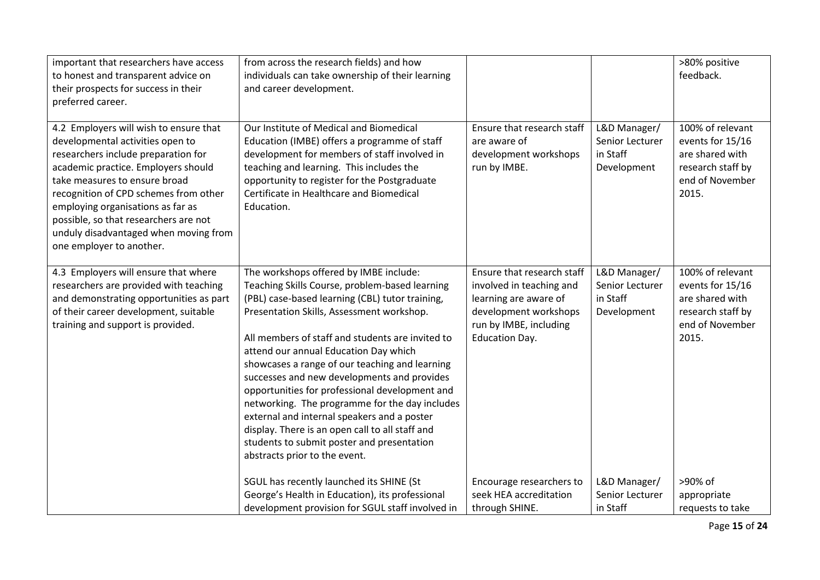| important that researchers have access<br>to honest and transparent advice on<br>their prospects for success in their<br>preferred career.                                                                                                                                                                                                                                            | from across the research fields) and how<br>individuals can take ownership of their learning<br>and career development.                                                                                                                                                                                                                                                                                                                                                                                                                                                                                                                                                     |                                                                                                                                                             |                                                            | >80% positive<br>feedback.                                                                               |
|---------------------------------------------------------------------------------------------------------------------------------------------------------------------------------------------------------------------------------------------------------------------------------------------------------------------------------------------------------------------------------------|-----------------------------------------------------------------------------------------------------------------------------------------------------------------------------------------------------------------------------------------------------------------------------------------------------------------------------------------------------------------------------------------------------------------------------------------------------------------------------------------------------------------------------------------------------------------------------------------------------------------------------------------------------------------------------|-------------------------------------------------------------------------------------------------------------------------------------------------------------|------------------------------------------------------------|----------------------------------------------------------------------------------------------------------|
| 4.2 Employers will wish to ensure that<br>developmental activities open to<br>researchers include preparation for<br>academic practice. Employers should<br>take measures to ensure broad<br>recognition of CPD schemes from other<br>employing organisations as far as<br>possible, so that researchers are not<br>unduly disadvantaged when moving from<br>one employer to another. | Our Institute of Medical and Biomedical<br>Education (IMBE) offers a programme of staff<br>development for members of staff involved in<br>teaching and learning. This includes the<br>opportunity to register for the Postgraduate<br>Certificate in Healthcare and Biomedical<br>Education.                                                                                                                                                                                                                                                                                                                                                                               | Ensure that research staff<br>are aware of<br>development workshops<br>run by IMBE.                                                                         | L&D Manager/<br>Senior Lecturer<br>in Staff<br>Development | 100% of relevant<br>events for 15/16<br>are shared with<br>research staff by<br>end of November<br>2015. |
| 4.3 Employers will ensure that where<br>researchers are provided with teaching<br>and demonstrating opportunities as part<br>of their career development, suitable<br>training and support is provided.                                                                                                                                                                               | The workshops offered by IMBE include:<br>Teaching Skills Course, problem-based learning<br>(PBL) case-based learning (CBL) tutor training,<br>Presentation Skills, Assessment workshop.<br>All members of staff and students are invited to<br>attend our annual Education Day which<br>showcases a range of our teaching and learning<br>successes and new developments and provides<br>opportunities for professional development and<br>networking. The programme for the day includes<br>external and internal speakers and a poster<br>display. There is an open call to all staff and<br>students to submit poster and presentation<br>abstracts prior to the event. | Ensure that research staff<br>involved in teaching and<br>learning are aware of<br>development workshops<br>run by IMBE, including<br><b>Education Day.</b> | L&D Manager/<br>Senior Lecturer<br>in Staff<br>Development | 100% of relevant<br>events for 15/16<br>are shared with<br>research staff by<br>end of November<br>2015. |
|                                                                                                                                                                                                                                                                                                                                                                                       | SGUL has recently launched its SHINE (St<br>George's Health in Education), its professional<br>development provision for SGUL staff involved in                                                                                                                                                                                                                                                                                                                                                                                                                                                                                                                             | Encourage researchers to<br>seek HEA accreditation<br>through SHINE.                                                                                        | L&D Manager/<br>Senior Lecturer<br>in Staff                | >90% of<br>appropriate<br>requests to take                                                               |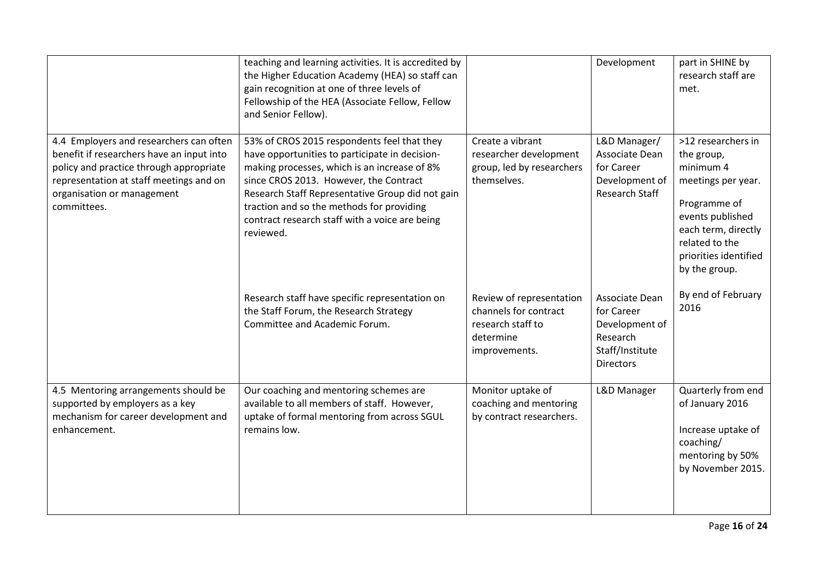|                                                                                                                                                                                                                         | teaching and learning activities. It is accredited by<br>the Higher Education Academy (HEA) so staff can<br>gain recognition at one of three levels of<br>Fellowship of the HEA (Associate Fellow, Fellow<br>and Senior Fellow).                                                                                                                        |                                                                                                      | Development                                                                                       | part in SHINE by<br>research staff are<br>met.                                                                                                                                             |
|-------------------------------------------------------------------------------------------------------------------------------------------------------------------------------------------------------------------------|---------------------------------------------------------------------------------------------------------------------------------------------------------------------------------------------------------------------------------------------------------------------------------------------------------------------------------------------------------|------------------------------------------------------------------------------------------------------|---------------------------------------------------------------------------------------------------|--------------------------------------------------------------------------------------------------------------------------------------------------------------------------------------------|
| 4.4 Employers and researchers can often<br>benefit if researchers have an input into<br>policy and practice through appropriate<br>representation at staff meetings and on<br>organisation or management<br>committees. | 53% of CROS 2015 respondents feel that they<br>have opportunities to participate in decision-<br>making processes, which is an increase of 8%<br>since CROS 2013. However, the Contract<br>Research Staff Representative Group did not gain<br>traction and so the methods for providing<br>contract research staff with a voice are being<br>reviewed. | Create a vibrant<br>researcher development<br>group, led by researchers<br>themselves.               | L&D Manager/<br>Associate Dean<br>for Career<br>Development of<br><b>Research Staff</b>           | >12 researchers in<br>the group,<br>minimum 4<br>meetings per year.<br>Programme of<br>events published<br>each term, directly<br>related to the<br>priorities identified<br>by the group. |
|                                                                                                                                                                                                                         | Research staff have specific representation on<br>the Staff Forum, the Research Strategy<br>Committee and Academic Forum.                                                                                                                                                                                                                               | Review of representation<br>channels for contract<br>research staff to<br>determine<br>improvements. | Associate Dean<br>for Career<br>Development of<br>Research<br>Staff/Institute<br><b>Directors</b> | By end of February<br>2016                                                                                                                                                                 |
| 4.5 Mentoring arrangements should be<br>supported by employers as a key<br>mechanism for career development and<br>enhancement.                                                                                         | Our coaching and mentoring schemes are<br>available to all members of staff. However,<br>uptake of formal mentoring from across SGUL<br>remains low.                                                                                                                                                                                                    | Monitor uptake of<br>coaching and mentoring<br>by contract researchers.                              | L&D Manager                                                                                       | Quarterly from end<br>of January 2016<br>Increase uptake of<br>coaching/<br>mentoring by 50%<br>by November 2015.                                                                          |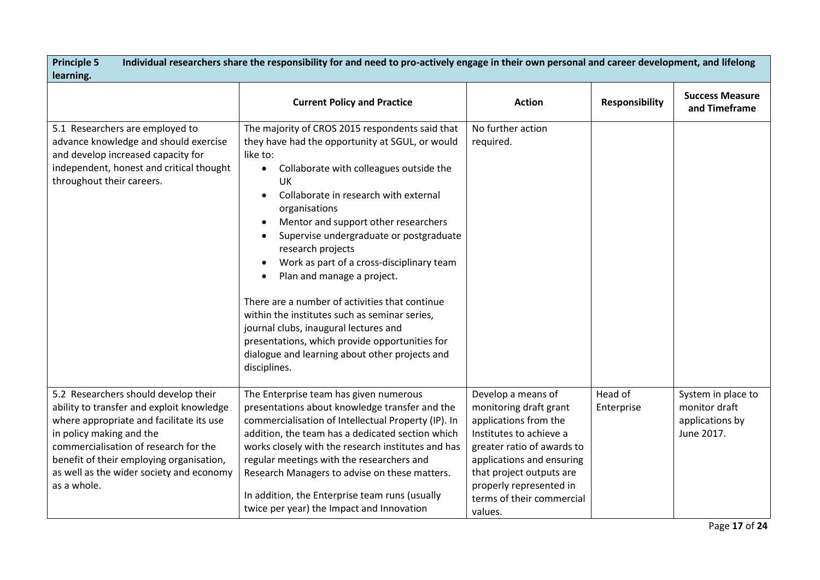| <b>Principle 5</b><br>Individual researchers share the responsibility for and need to pro-actively engage in their own personal and career development, and lifelong<br>learning.                                                                                                                         |                                                                                                                                                                                                                                                                                                                                                                                                                                                                                                                                                                                                                                                                                                        |                                                                                                                                                                                                                                                            |                       |                                                                      |
|-----------------------------------------------------------------------------------------------------------------------------------------------------------------------------------------------------------------------------------------------------------------------------------------------------------|--------------------------------------------------------------------------------------------------------------------------------------------------------------------------------------------------------------------------------------------------------------------------------------------------------------------------------------------------------------------------------------------------------------------------------------------------------------------------------------------------------------------------------------------------------------------------------------------------------------------------------------------------------------------------------------------------------|------------------------------------------------------------------------------------------------------------------------------------------------------------------------------------------------------------------------------------------------------------|-----------------------|----------------------------------------------------------------------|
|                                                                                                                                                                                                                                                                                                           | <b>Current Policy and Practice</b>                                                                                                                                                                                                                                                                                                                                                                                                                                                                                                                                                                                                                                                                     | <b>Action</b>                                                                                                                                                                                                                                              | <b>Responsibility</b> | <b>Success Measure</b><br>and Timeframe                              |
| 5.1 Researchers are employed to<br>advance knowledge and should exercise<br>and develop increased capacity for<br>independent, honest and critical thought<br>throughout their careers.                                                                                                                   | The majority of CROS 2015 respondents said that<br>they have had the opportunity at SGUL, or would<br>like to:<br>Collaborate with colleagues outside the<br>$\bullet$<br>UK<br>Collaborate in research with external<br>$\bullet$<br>organisations<br>Mentor and support other researchers<br>Supervise undergraduate or postgraduate<br>research projects<br>Work as part of a cross-disciplinary team<br>Plan and manage a project.<br>There are a number of activities that continue<br>within the institutes such as seminar series,<br>journal clubs, inaugural lectures and<br>presentations, which provide opportunities for<br>dialogue and learning about other projects and<br>disciplines. | No further action<br>required.                                                                                                                                                                                                                             |                       |                                                                      |
| 5.2 Researchers should develop their<br>ability to transfer and exploit knowledge<br>where appropriate and facilitate its use<br>in policy making and the<br>commercialisation of research for the<br>benefit of their employing organisation,<br>as well as the wider society and economy<br>as a whole. | The Enterprise team has given numerous<br>presentations about knowledge transfer and the<br>commercialisation of Intellectual Property (IP). In<br>addition, the team has a dedicated section which<br>works closely with the research institutes and has<br>regular meetings with the researchers and<br>Research Managers to advise on these matters.<br>In addition, the Enterprise team runs (usually<br>twice per year) the Impact and Innovation                                                                                                                                                                                                                                                 | Develop a means of<br>monitoring draft grant<br>applications from the<br>Institutes to achieve a<br>greater ratio of awards to<br>applications and ensuring<br>that project outputs are<br>properly represented in<br>terms of their commercial<br>values. | Head of<br>Enterprise | System in place to<br>monitor draft<br>applications by<br>June 2017. |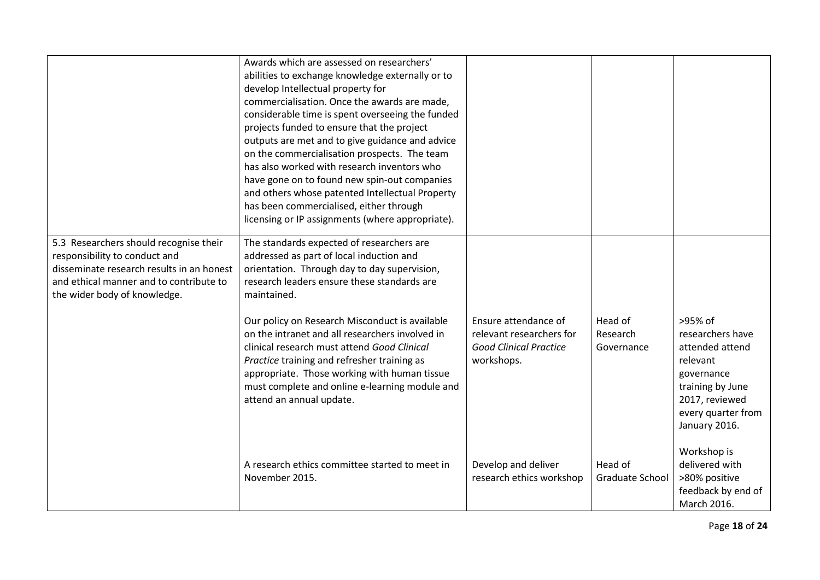|                                                                                                                                                                                                 | Awards which are assessed on researchers'<br>abilities to exchange knowledge externally or to<br>develop Intellectual property for<br>commercialisation. Once the awards are made,<br>considerable time is spent overseeing the funded<br>projects funded to ensure that the project<br>outputs are met and to give guidance and advice<br>on the commercialisation prospects. The team<br>has also worked with research inventors who<br>have gone on to found new spin-out companies<br>and others whose patented Intellectual Property<br>has been commercialised, either through<br>licensing or IP assignments (where appropriate). |                                                                                                 |                                   |                                                                                                                                                       |
|-------------------------------------------------------------------------------------------------------------------------------------------------------------------------------------------------|------------------------------------------------------------------------------------------------------------------------------------------------------------------------------------------------------------------------------------------------------------------------------------------------------------------------------------------------------------------------------------------------------------------------------------------------------------------------------------------------------------------------------------------------------------------------------------------------------------------------------------------|-------------------------------------------------------------------------------------------------|-----------------------------------|-------------------------------------------------------------------------------------------------------------------------------------------------------|
| 5.3 Researchers should recognise their<br>responsibility to conduct and<br>disseminate research results in an honest<br>and ethical manner and to contribute to<br>the wider body of knowledge. | The standards expected of researchers are<br>addressed as part of local induction and<br>orientation. Through day to day supervision,<br>research leaders ensure these standards are<br>maintained.<br>Our policy on Research Misconduct is available<br>on the intranet and all researchers involved in<br>clinical research must attend Good Clinical<br>Practice training and refresher training as<br>appropriate. Those working with human tissue<br>must complete and online e-learning module and<br>attend an annual update.                                                                                                     | Ensure attendance of<br>relevant researchers for<br><b>Good Clinical Practice</b><br>workshops. | Head of<br>Research<br>Governance | >95% of<br>researchers have<br>attended attend<br>relevant<br>governance<br>training by June<br>2017, reviewed<br>every quarter from<br>January 2016. |
|                                                                                                                                                                                                 | A research ethics committee started to meet in<br>November 2015.                                                                                                                                                                                                                                                                                                                                                                                                                                                                                                                                                                         | Develop and deliver<br>research ethics workshop                                                 | Head of<br>Graduate School        | Workshop is<br>delivered with<br>>80% positive<br>feedback by end of<br>March 2016.                                                                   |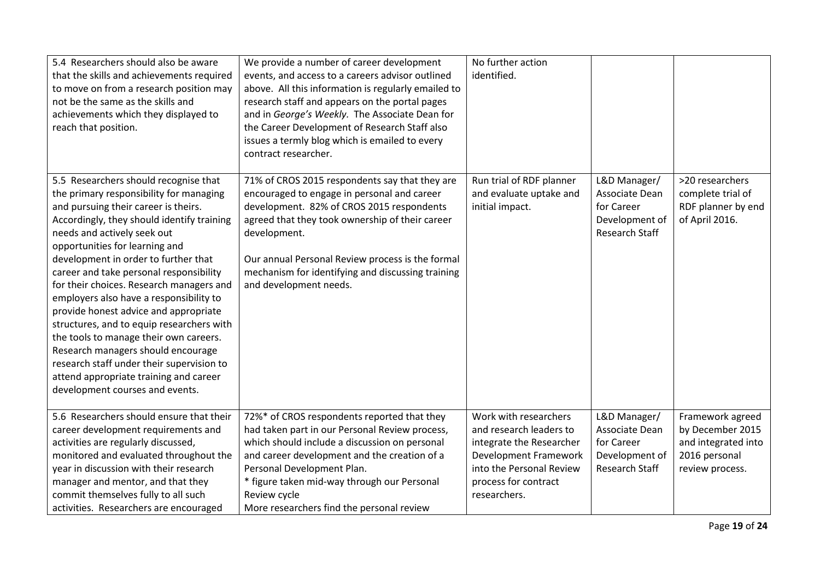| 5.4 Researchers should also be aware<br>that the skills and achievements required<br>to move on from a research position may<br>not be the same as the skills and<br>achievements which they displayed to<br>reach that position.                                                                                                                                                                                                                                                                                                                                                                                                                                                                                 | We provide a number of career development<br>events, and access to a careers advisor outlined<br>above. All this information is regularly emailed to<br>research staff and appears on the portal pages<br>and in George's Weekly. The Associate Dean for<br>the Career Development of Research Staff also<br>issues a termly blog which is emailed to every<br>contract researcher. | No further action<br>identified.                                                                                                                                          |                                                                                  |                                                                                                 |
|-------------------------------------------------------------------------------------------------------------------------------------------------------------------------------------------------------------------------------------------------------------------------------------------------------------------------------------------------------------------------------------------------------------------------------------------------------------------------------------------------------------------------------------------------------------------------------------------------------------------------------------------------------------------------------------------------------------------|-------------------------------------------------------------------------------------------------------------------------------------------------------------------------------------------------------------------------------------------------------------------------------------------------------------------------------------------------------------------------------------|---------------------------------------------------------------------------------------------------------------------------------------------------------------------------|----------------------------------------------------------------------------------|-------------------------------------------------------------------------------------------------|
| 5.5 Researchers should recognise that<br>the primary responsibility for managing<br>and pursuing their career is theirs.<br>Accordingly, they should identify training<br>needs and actively seek out<br>opportunities for learning and<br>development in order to further that<br>career and take personal responsibility<br>for their choices. Research managers and<br>employers also have a responsibility to<br>provide honest advice and appropriate<br>structures, and to equip researchers with<br>the tools to manage their own careers.<br>Research managers should encourage<br>research staff under their supervision to<br>attend appropriate training and career<br>development courses and events. | 71% of CROS 2015 respondents say that they are<br>encouraged to engage in personal and career<br>development. 82% of CROS 2015 respondents<br>agreed that they took ownership of their career<br>development.<br>Our annual Personal Review process is the formal<br>mechanism for identifying and discussing training<br>and development needs.                                    | Run trial of RDF planner<br>and evaluate uptake and<br>initial impact.                                                                                                    | L&D Manager/<br>Associate Dean<br>for Career<br>Development of<br>Research Staff | >20 researchers<br>complete trial of<br>RDF planner by end<br>of April 2016.                    |
| 5.6 Researchers should ensure that their<br>career development requirements and<br>activities are regularly discussed,<br>monitored and evaluated throughout the<br>year in discussion with their research<br>manager and mentor, and that they<br>commit themselves fully to all such<br>activities. Researchers are encouraged                                                                                                                                                                                                                                                                                                                                                                                  | 72%* of CROS respondents reported that they<br>had taken part in our Personal Review process,<br>which should include a discussion on personal<br>and career development and the creation of a<br>Personal Development Plan.<br>* figure taken mid-way through our Personal<br>Review cycle<br>More researchers find the personal review                                            | Work with researchers<br>and research leaders to<br>integrate the Researcher<br>Development Framework<br>into the Personal Review<br>process for contract<br>researchers. | L&D Manager/<br>Associate Dean<br>for Career<br>Development of<br>Research Staff | Framework agreed<br>by December 2015<br>and integrated into<br>2016 personal<br>review process. |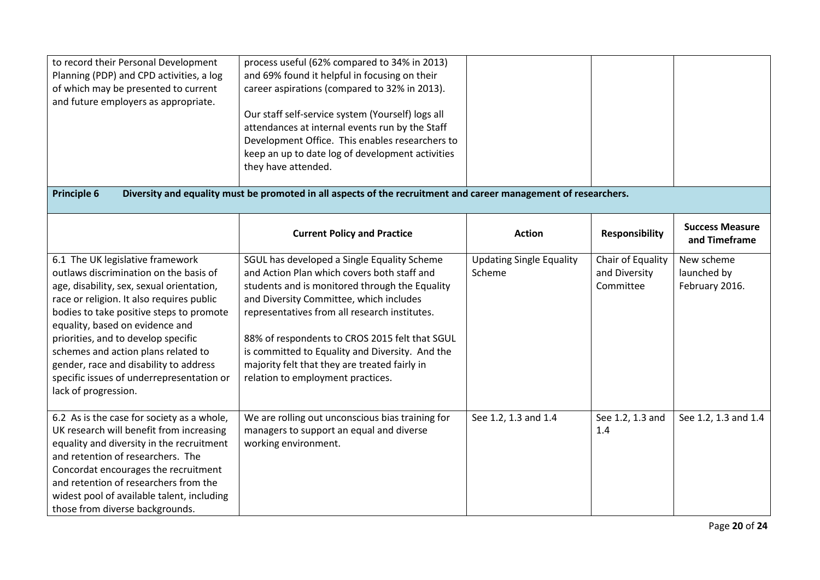| to record their Personal Development<br>Planning (PDP) and CPD activities, a log<br>of which may be presented to current<br>and future employers as appropriate.                                                                                                                                                                                                                                                                                 | process useful (62% compared to 34% in 2013)<br>and 69% found it helpful in focusing on their<br>career aspirations (compared to 32% in 2013).<br>Our staff self-service system (Yourself) logs all<br>attendances at internal events run by the Staff<br>Development Office. This enables researchers to                                                                                                                           |                                           |                                                 |                                             |
|--------------------------------------------------------------------------------------------------------------------------------------------------------------------------------------------------------------------------------------------------------------------------------------------------------------------------------------------------------------------------------------------------------------------------------------------------|-------------------------------------------------------------------------------------------------------------------------------------------------------------------------------------------------------------------------------------------------------------------------------------------------------------------------------------------------------------------------------------------------------------------------------------|-------------------------------------------|-------------------------------------------------|---------------------------------------------|
| <b>Principle 6</b>                                                                                                                                                                                                                                                                                                                                                                                                                               | keep an up to date log of development activities<br>they have attended.<br>Diversity and equality must be promoted in all aspects of the recruitment and career management of researchers.                                                                                                                                                                                                                                          |                                           |                                                 |                                             |
|                                                                                                                                                                                                                                                                                                                                                                                                                                                  |                                                                                                                                                                                                                                                                                                                                                                                                                                     |                                           |                                                 |                                             |
|                                                                                                                                                                                                                                                                                                                                                                                                                                                  | <b>Current Policy and Practice</b>                                                                                                                                                                                                                                                                                                                                                                                                  | <b>Action</b>                             | <b>Responsibility</b>                           | <b>Success Measure</b><br>and Timeframe     |
| 6.1 The UK legislative framework<br>outlaws discrimination on the basis of<br>age, disability, sex, sexual orientation,<br>race or religion. It also requires public<br>bodies to take positive steps to promote<br>equality, based on evidence and<br>priorities, and to develop specific<br>schemes and action plans related to<br>gender, race and disability to address<br>specific issues of underrepresentation or<br>lack of progression. | SGUL has developed a Single Equality Scheme<br>and Action Plan which covers both staff and<br>students and is monitored through the Equality<br>and Diversity Committee, which includes<br>representatives from all research institutes.<br>88% of respondents to CROS 2015 felt that SGUL<br>is committed to Equality and Diversity. And the<br>majority felt that they are treated fairly in<br>relation to employment practices. | <b>Updating Single Equality</b><br>Scheme | Chair of Equality<br>and Diversity<br>Committee | New scheme<br>launched by<br>February 2016. |
| 6.2 As is the case for society as a whole,<br>UK research will benefit from increasing<br>equality and diversity in the recruitment<br>and retention of researchers. The<br>Concordat encourages the recruitment<br>and retention of researchers from the<br>widest pool of available talent, including<br>those from diverse backgrounds.                                                                                                       | We are rolling out unconscious bias training for<br>managers to support an equal and diverse<br>working environment.                                                                                                                                                                                                                                                                                                                | See 1.2, 1.3 and 1.4                      | See 1.2, 1.3 and<br>1.4                         | See 1.2, 1.3 and 1.4                        |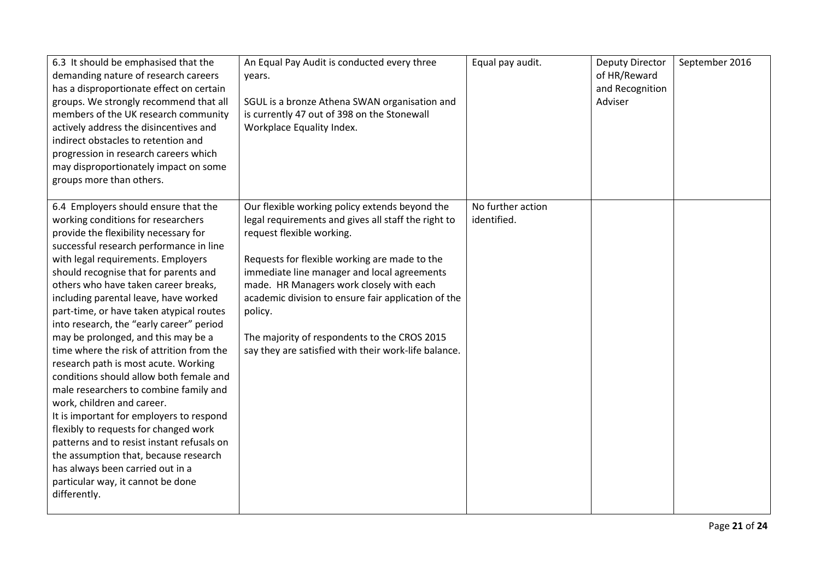| 6.3 It should be emphasised that the<br>demanding nature of research careers<br>has a disproportionate effect on certain<br>groups. We strongly recommend that all<br>members of the UK research community<br>actively address the disincentives and<br>indirect obstacles to retention and<br>progression in research careers which<br>may disproportionately impact on some<br>groups more than others.                                                                                                                                                                                                                                                                                                                                                                                                                                                                                                                                  | An Equal Pay Audit is conducted every three<br>years.<br>SGUL is a bronze Athena SWAN organisation and<br>is currently 47 out of 398 on the Stonewall<br>Workplace Equality Index.                                                                                                                                                                                                                                                                       | Equal pay audit.                 | <b>Deputy Director</b><br>of HR/Reward<br>and Recognition<br>Adviser | September 2016 |
|--------------------------------------------------------------------------------------------------------------------------------------------------------------------------------------------------------------------------------------------------------------------------------------------------------------------------------------------------------------------------------------------------------------------------------------------------------------------------------------------------------------------------------------------------------------------------------------------------------------------------------------------------------------------------------------------------------------------------------------------------------------------------------------------------------------------------------------------------------------------------------------------------------------------------------------------|----------------------------------------------------------------------------------------------------------------------------------------------------------------------------------------------------------------------------------------------------------------------------------------------------------------------------------------------------------------------------------------------------------------------------------------------------------|----------------------------------|----------------------------------------------------------------------|----------------|
| 6.4 Employers should ensure that the<br>working conditions for researchers<br>provide the flexibility necessary for<br>successful research performance in line<br>with legal requirements. Employers<br>should recognise that for parents and<br>others who have taken career breaks,<br>including parental leave, have worked<br>part-time, or have taken atypical routes<br>into research, the "early career" period<br>may be prolonged, and this may be a<br>time where the risk of attrition from the<br>research path is most acute. Working<br>conditions should allow both female and<br>male researchers to combine family and<br>work, children and career.<br>It is important for employers to respond<br>flexibly to requests for changed work<br>patterns and to resist instant refusals on<br>the assumption that, because research<br>has always been carried out in a<br>particular way, it cannot be done<br>differently. | Our flexible working policy extends beyond the<br>legal requirements and gives all staff the right to<br>request flexible working.<br>Requests for flexible working are made to the<br>immediate line manager and local agreements<br>made. HR Managers work closely with each<br>academic division to ensure fair application of the<br>policy.<br>The majority of respondents to the CROS 2015<br>say they are satisfied with their work-life balance. | No further action<br>identified. |                                                                      |                |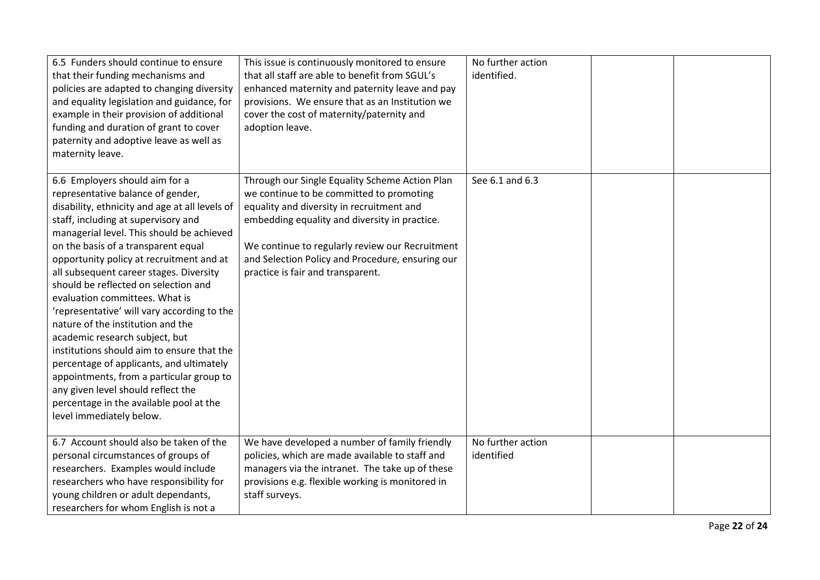| 6.5 Funders should continue to ensure<br>that their funding mechanisms and<br>policies are adapted to changing diversity<br>and equality legislation and guidance, for<br>example in their provision of additional<br>funding and duration of grant to cover<br>paternity and adoptive leave as well as<br>maternity leave.                                                                                                                                                                                                                                                                                                                                                                                                                                                                | This issue is continuously monitored to ensure<br>that all staff are able to benefit from SGUL's<br>enhanced maternity and paternity leave and pay<br>provisions. We ensure that as an Institution we<br>cover the cost of maternity/paternity and<br>adoption leave.                                                                | No further action<br>identified. |  |
|--------------------------------------------------------------------------------------------------------------------------------------------------------------------------------------------------------------------------------------------------------------------------------------------------------------------------------------------------------------------------------------------------------------------------------------------------------------------------------------------------------------------------------------------------------------------------------------------------------------------------------------------------------------------------------------------------------------------------------------------------------------------------------------------|--------------------------------------------------------------------------------------------------------------------------------------------------------------------------------------------------------------------------------------------------------------------------------------------------------------------------------------|----------------------------------|--|
| 6.6 Employers should aim for a<br>representative balance of gender,<br>disability, ethnicity and age at all levels of<br>staff, including at supervisory and<br>managerial level. This should be achieved<br>on the basis of a transparent equal<br>opportunity policy at recruitment and at<br>all subsequent career stages. Diversity<br>should be reflected on selection and<br>evaluation committees. What is<br>'representative' will vary according to the<br>nature of the institution and the<br>academic research subject, but<br>institutions should aim to ensure that the<br>percentage of applicants, and ultimately<br>appointments, from a particular group to<br>any given level should reflect the<br>percentage in the available pool at the<br>level immediately below. | Through our Single Equality Scheme Action Plan<br>we continue to be committed to promoting<br>equality and diversity in recruitment and<br>embedding equality and diversity in practice.<br>We continue to regularly review our Recruitment<br>and Selection Policy and Procedure, ensuring our<br>practice is fair and transparent. | See 6.1 and 6.3                  |  |
| 6.7 Account should also be taken of the<br>personal circumstances of groups of<br>researchers. Examples would include<br>researchers who have responsibility for<br>young children or adult dependants,<br>researchers for whom English is not a                                                                                                                                                                                                                                                                                                                                                                                                                                                                                                                                           | We have developed a number of family friendly<br>policies, which are made available to staff and<br>managers via the intranet. The take up of these<br>provisions e.g. flexible working is monitored in<br>staff surveys.                                                                                                            | No further action<br>identified  |  |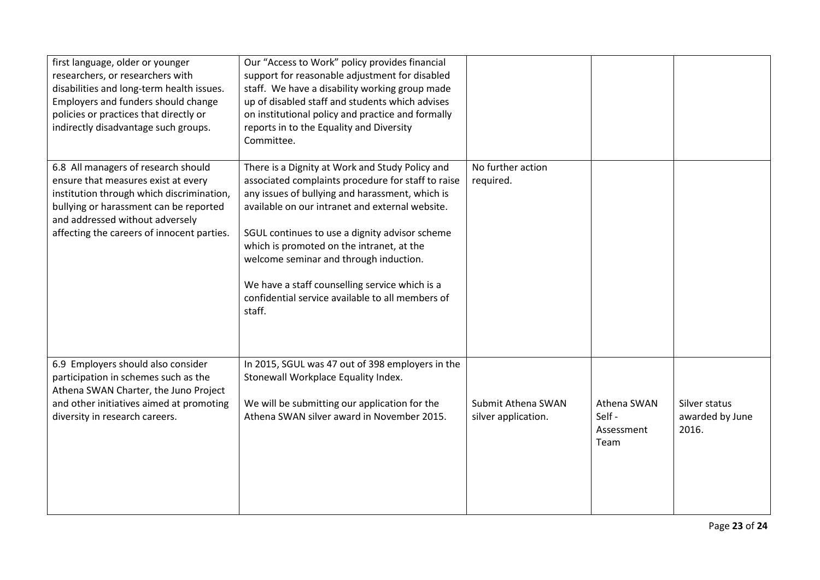| first language, older or younger<br>researchers, or researchers with<br>disabilities and long-term health issues.<br>Employers and funders should change<br>policies or practices that directly or<br>indirectly disadvantage such groups.         | Our "Access to Work" policy provides financial<br>support for reasonable adjustment for disabled<br>staff. We have a disability working group made<br>up of disabled staff and students which advises<br>on institutional policy and practice and formally<br>reports in to the Equality and Diversity<br>Committee.                                                                                                                                                 |                                           |                                            |                                           |
|----------------------------------------------------------------------------------------------------------------------------------------------------------------------------------------------------------------------------------------------------|----------------------------------------------------------------------------------------------------------------------------------------------------------------------------------------------------------------------------------------------------------------------------------------------------------------------------------------------------------------------------------------------------------------------------------------------------------------------|-------------------------------------------|--------------------------------------------|-------------------------------------------|
| 6.8 All managers of research should<br>ensure that measures exist at every<br>institution through which discrimination,<br>bullying or harassment can be reported<br>and addressed without adversely<br>affecting the careers of innocent parties. | There is a Dignity at Work and Study Policy and<br>associated complaints procedure for staff to raise<br>any issues of bullying and harassment, which is<br>available on our intranet and external website.<br>SGUL continues to use a dignity advisor scheme<br>which is promoted on the intranet, at the<br>welcome seminar and through induction.<br>We have a staff counselling service which is a<br>confidential service available to all members of<br>staff. | No further action<br>required.            |                                            |                                           |
| 6.9 Employers should also consider<br>participation in schemes such as the<br>Athena SWAN Charter, the Juno Project<br>and other initiatives aimed at promoting<br>diversity in research careers.                                                  | In 2015, SGUL was 47 out of 398 employers in the<br>Stonewall Workplace Equality Index.<br>We will be submitting our application for the<br>Athena SWAN silver award in November 2015.                                                                                                                                                                                                                                                                               | Submit Athena SWAN<br>silver application. | Athena SWAN<br>Self-<br>Assessment<br>Team | Silver status<br>awarded by June<br>2016. |